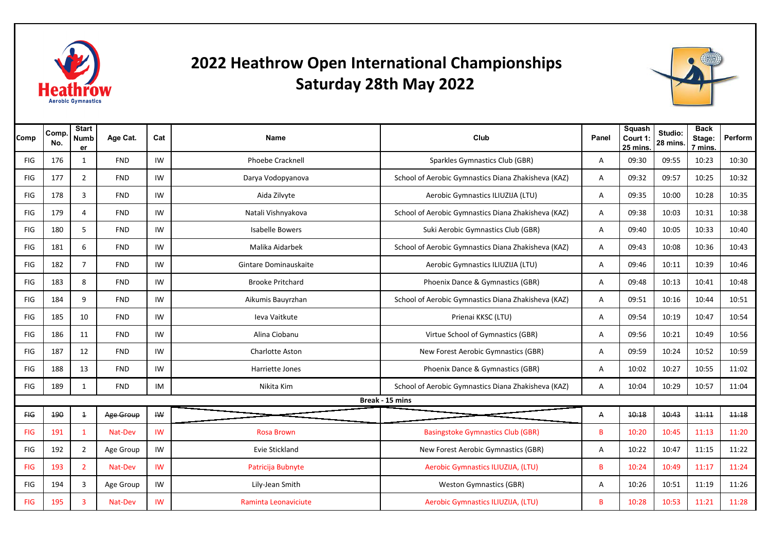

## **2022 Heathrow Open International Championships Saturday 28th May 2022**



| Comp           | Comp.<br>No. | <b>Start</b><br><b>Numb</b><br>er | Age Cat.   | Cat           | Name                    | Club                                                | Panel | <b>Squash</b><br>Court 1:<br>25 mins. | Studio:<br>28 mins. | <b>Back</b><br>Stage:<br>7 mins. | Perform |
|----------------|--------------|-----------------------------------|------------|---------------|-------------------------|-----------------------------------------------------|-------|---------------------------------------|---------------------|----------------------------------|---------|
| <b>FIG</b>     | 176          | 1                                 | <b>FND</b> | IW            | <b>Phoebe Cracknell</b> | Sparkles Gymnastics Club (GBR)                      | A     | 09:30                                 | 09:55               | 10:23                            | 10:30   |
| <b>FIG</b>     | 177          | $\overline{2}$                    | <b>FND</b> | IW            | Darya Vodopyanova       | School of Aerobic Gymnastics Diana Zhakisheva (KAZ) | A     | 09:32                                 | 09:57               | 10:25                            | 10:32   |
| FIG            | 178          | 3                                 | <b>FND</b> | IW            | Aida Zilvyte            | Aerobic Gymnastics ILIUZIJA (LTU)                   | A     | 09:35                                 | 10:00               | 10:28                            | 10:35   |
| <b>FIG</b>     | 179          | 4                                 | <b>FND</b> | IW            | Natali Vishnyakova      | School of Aerobic Gymnastics Diana Zhakisheva (KAZ) | A     | 09:38                                 | 10:03               | 10:31                            | 10:38   |
| <b>FIG</b>     | 180          | 5                                 | <b>FND</b> | IW            | <b>Isabelle Bowers</b>  | Suki Aerobic Gymnastics Club (GBR)                  | Α     | 09:40                                 | 10:05               | 10:33                            | 10:40   |
| <b>FIG</b>     | 181          | 6                                 | <b>FND</b> | IW            | Malika Aidarbek         | School of Aerobic Gymnastics Diana Zhakisheva (KAZ) | A     | 09:43                                 | 10:08               | 10:36                            | 10:43   |
| <b>FIG</b>     | 182          | $\overline{7}$                    | <b>FND</b> | IW            | Gintare Dominauskaite   | Aerobic Gymnastics ILIUZIJA (LTU)                   | A     | 09:46                                 | 10:11               | 10:39                            | 10:46   |
| FIG            | 183          | 8                                 | <b>FND</b> | IW            | <b>Brooke Pritchard</b> | Phoenix Dance & Gymnastics (GBR)                    | A     | 09:48                                 | 10:13               | 10:41                            | 10:48   |
| <b>FIG</b>     | 184          | 9                                 | <b>FND</b> | IW            | Aikumis Bauyrzhan       | School of Aerobic Gymnastics Diana Zhakisheva (KAZ) | Α     | 09:51                                 | 10:16               | 10:44                            | 10:51   |
| <b>FIG</b>     | 185          | 10                                | <b>FND</b> | IW            | Ieva Vaitkute           | Prienai KKSC (LTU)                                  | A     | 09:54                                 | 10:19               | 10:47                            | 10:54   |
| <b>FIG</b>     | 186          | 11                                | <b>FND</b> | IW            | Alina Ciobanu           | Virtue School of Gymnastics (GBR)                   | Α     | 09:56                                 | 10:21               | 10:49                            | 10:56   |
| FIG            | 187          | 12                                | <b>FND</b> | IW            | Charlotte Aston         | New Forest Aerobic Gymnastics (GBR)                 | A     | 09:59                                 | 10:24               | 10:52                            | 10:59   |
| FIG            | 188          | 13                                | <b>FND</b> | IW            | Harriette Jones         | Phoenix Dance & Gymnastics (GBR)                    | A     | 10:02                                 | 10:27               | 10:55                            | 11:02   |
| <b>FIG</b>     | 189          | 1                                 | <b>FND</b> | IM            | Nikita Kim              | School of Aerobic Gymnastics Diana Zhakisheva (KAZ) | A     | 10:04                                 | 10:29               | 10:57                            | 11:04   |
|                |              |                                   |            |               |                         | Break - 15 mins                                     |       |                                       |                     |                                  |         |
| H <sub>G</sub> | 190          | $\mathbf{1}$                      | Age Group  | $I\mathsf{W}$ |                         |                                                     | Α     | 10:18                                 | 10:43               | 11:11                            | 11:18   |
| <b>FIG</b>     | 191          | $\mathbf{1}$                      | Nat-Dev    | IW            | <b>Rosa Brown</b>       | <b>Basingstoke Gymnastics Club (GBR)</b>            | B     | 10:20                                 | 10:45               | 11:13                            | 11:20   |
| <b>FIG</b>     | 192          | $\overline{2}$                    | Age Group  | IW            | Evie Stickland          | New Forest Aerobic Gymnastics (GBR)                 | A     | 10:22                                 | 10:47               | 11:15                            | 11:22   |
| <b>FIG</b>     | 193          | $\overline{2}$                    | Nat-Dev    | <b>IW</b>     | Patricija Bubnyte       | Aerobic Gymnastics ILIUZIJA, (LTU)                  | B     | 10:24                                 | 10:49               | 11:17                            | 11:24   |
| FIG            | 194          | 3                                 | Age Group  | IW            | Lily-Jean Smith         | <b>Weston Gymnastics (GBR)</b>                      | Α     | 10:26                                 | 10:51               | 11:19                            | 11:26   |
| <b>FIG</b>     | 195          | 3                                 | Nat-Dev    | IW            | Raminta Leonaviciute    | Aerobic Gymnastics ILIUZIJA, (LTU)                  | B     | 10:28                                 | 10:53               | 11:21                            | 11:28   |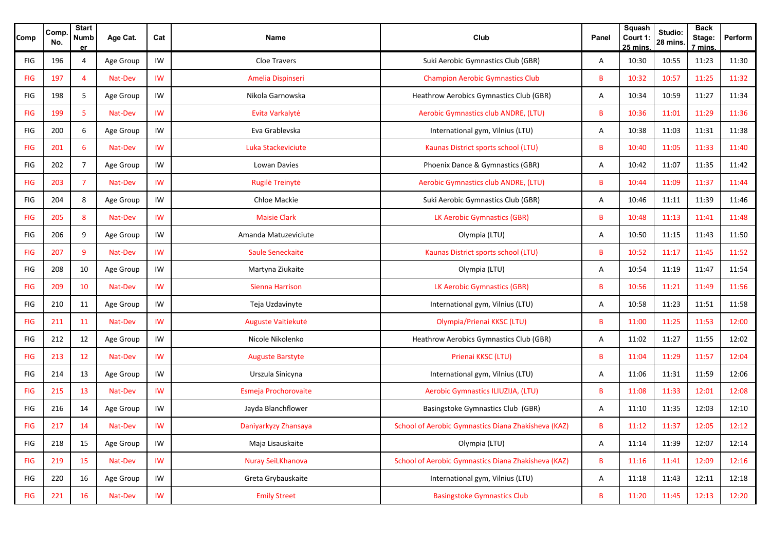| Comp       | Comp<br>No. | <b>Start</b><br><b>Numb</b><br>er | Age Cat.  | Cat       | Name                    | Club                                                | Panel | <b>Squash</b><br>Court 1:<br>25 mins. | Studio:<br>28 mins | <b>Back</b><br>Stage:<br>7 mins. | Perform |
|------------|-------------|-----------------------------------|-----------|-----------|-------------------------|-----------------------------------------------------|-------|---------------------------------------|--------------------|----------------------------------|---------|
| FIG        | 196         | 4                                 | Age Group | IW        | <b>Cloe Travers</b>     | Suki Aerobic Gymnastics Club (GBR)                  | Α     | 10:30                                 | 10:55              | 11:23                            | 11:30   |
| <b>FIG</b> | 197         | 4                                 | Nat-Dev   | IW        | Amelia Dispinseri       | <b>Champion Aerobic Gymnastics Club</b>             | B     | 10:32                                 | 10:57              | 11:25                            | 11:32   |
| <b>FIG</b> | 198         | 5                                 | Age Group | IW        | Nikola Garnowska        | Heathrow Aerobics Gymnastics Club (GBR)             | Α     | 10:34                                 | 10:59              | 11:27                            | 11:34   |
| <b>FIG</b> | 199         | 5                                 | Nat-Dev   | IW        | Evita Varkalytė         | Aerobic Gymnastics club ANDRE, (LTU)                | B     | 10:36                                 | 11:01              | 11:29                            | 11:36   |
| FIG        | 200         | 6                                 | Age Group | IW        | Eva Grablevska          | International gym, Vilnius (LTU)                    | Α     | 10:38                                 | 11:03              | 11:31                            | 11:38   |
| <b>FIG</b> | 201         | 6                                 | Nat-Dev   | IW        | Luka Stackeviciute      | Kaunas District sports school (LTU)                 | B     | 10:40                                 | 11:05              | 11:33                            | 11:40   |
| <b>FIG</b> | 202         | $\overline{7}$                    | Age Group | IW        | Lowan Davies            | Phoenix Dance & Gymnastics (GBR)                    | Α     | 10:42                                 | 11:07              | 11:35                            | 11:42   |
| <b>FIG</b> | 203         | $\overline{7}$                    | Nat-Dev   | IW        | Rugilė Treinytė         | Aerobic Gymnastics club ANDRE, (LTU)                | В     | 10:44                                 | 11:09              | 11:37                            | 11:44   |
| <b>FIG</b> | 204         | 8                                 | Age Group | IW        | Chloe Mackie            | Suki Aerobic Gymnastics Club (GBR)                  | Α     | 10:46                                 | 11:11              | 11:39                            | 11:46   |
| <b>FIG</b> | 205         | 8                                 | Nat-Dev   | <b>IW</b> | <b>Maisie Clark</b>     | LK Aerobic Gymnastics (GBR)                         | B     | 10:48                                 | 11:13              | 11:41                            | 11:48   |
| FIG        | 206         | 9                                 | Age Group | IW        | Amanda Matuzeviciute    | Olympia (LTU)                                       | Α     | 10:50                                 | 11:15              | 11:43                            | 11:50   |
| <b>FIG</b> | 207         | 9                                 | Nat-Dev   | <b>IW</b> | <b>Saule Seneckaite</b> | Kaunas District sports school (LTU)                 | B     | 10:52                                 | 11:17              | 11:45                            | 11:52   |
| FIG        | 208         | 10                                | Age Group | IW        | Martyna Ziukaite        | Olympia (LTU)                                       | Α     | 10:54                                 | 11:19              | 11:47                            | 11:54   |
| <b>FIG</b> | 209         | 10                                | Nat-Dev   | <b>IW</b> | Sienna Harrison         | <b>LK Aerobic Gymnastics (GBR)</b>                  | В     | 10:56                                 | 11:21              | 11:49                            | 11:56   |
| <b>FIG</b> | 210         | 11                                | Age Group | IW        | Teja Uzdavinyte         | International gym, Vilnius (LTU)                    | Α     | 10:58                                 | 11:23              | 11:51                            | 11:58   |
| <b>FIG</b> | 211         | 11                                | Nat-Dev   | IW        | Auguste Vaitiekutė      | Olympia/Prienai KKSC (LTU)                          | B     | 11:00                                 | 11:25              | 11:53                            | 12:00   |
| <b>FIG</b> | 212         | 12                                | Age Group | IW        | Nicole Nikolenko        | Heathrow Aerobics Gymnastics Club (GBR)             | Α     | 11:02                                 | 11:27              | 11:55                            | 12:02   |
| <b>FIG</b> | 213         | 12                                | Nat-Dev   | <b>IW</b> | <b>Auguste Barstyte</b> | Prienai KKSC (LTU)                                  | B     | 11:04                                 | 11:29              | 11:57                            | 12:04   |
| FIG        | 214         | 13                                | Age Group | IW        | Urszula Sinicyna        | International gym, Vilnius (LTU)                    | Α     | 11:06                                 | 11:31              | 11:59                            | 12:06   |
| <b>FIG</b> | 215         | 13                                | Nat-Dev   | IW        | Esmeja Prochorovaite    | Aerobic Gymnastics ILIUZIJA, (LTU)                  | В     | 11:08                                 | 11:33              | 12:01                            | 12:08   |
| <b>FIG</b> | 216         | 14                                | Age Group | IW        | Jayda Blanchflower      | Basingstoke Gymnastics Club (GBR)                   | Α     | 11:10                                 | 11:35              | 12:03                            | 12:10   |
| <b>FIG</b> | 217         | 14                                | Nat-Dev   | IW        | Daniyarkyzy Zhansaya    | School of Aerobic Gymnastics Diana Zhakisheva (KAZ) | В     | 11:12                                 | 11:37              | 12:05                            | 12:12   |
| FIG        | 218         | 15                                | Age Group | IW        | Maja Lisauskaite        | Olympia (LTU)                                       | A     | 11:14                                 | 11:39              | 12:07                            | 12:14   |
| <b>FIG</b> | 219         | 15                                | Nat-Dev   | <b>IW</b> | Nuray SeiLKhanova       | School of Aerobic Gymnastics Diana Zhakisheva (KAZ) | B     | 11:16                                 | 11:41              | 12:09                            | 12:16   |
| FIG        | 220         | 16                                | Age Group | IW        | Greta Grybauskaite      | International gym, Vilnius (LTU)                    | Α     | 11:18                                 | 11:43              | 12:11                            | 12:18   |
| <b>FIG</b> | 221         | 16                                | Nat-Dev   | IW        | <b>Emily Street</b>     | <b>Basingstoke Gymnastics Club</b>                  | B     | 11:20                                 | 11:45              | 12:13                            | 12:20   |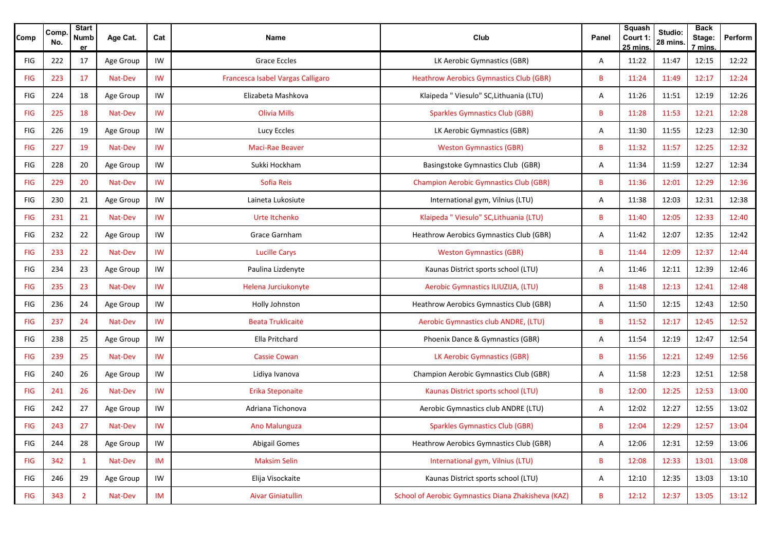| Comp       | Comp.<br>No. | <b>Start</b><br><b>Numb</b><br>er | Age Cat.  | Cat       | Name                              | Club                                                | Panel | <b>Squash</b><br>Court 1:<br>25 mins. | Studio:<br>28 mins | <b>Back</b><br>Stage:<br>7 mins. | Perform |
|------------|--------------|-----------------------------------|-----------|-----------|-----------------------------------|-----------------------------------------------------|-------|---------------------------------------|--------------------|----------------------------------|---------|
| FIG        | 222          | 17                                | Age Group | IW        | Grace Eccles                      | LK Aerobic Gymnastics (GBR)                         | A     | 11:22                                 | 11:47              | 12:15                            | 12:22   |
| <b>FIG</b> | 223          | 17                                | Nat-Dev   | IW        | Francesca Isabel Vargas Calligaro | <b>Heathrow Aerobics Gymnastics Club (GBR)</b>      | B     | 11:24                                 | 11:49              | 12:17                            | 12:24   |
| FIG        | 224          | 18                                | Age Group | IW        | Elizabeta Mashkova                | Klaipeda " Viesulo" SC, Lithuania (LTU)             | Α     | 11:26                                 | 11:51              | 12:19                            | 12:26   |
| <b>FIG</b> | 225          | 18                                | Nat-Dev   | IW        | <b>Olivia Mills</b>               | <b>Sparkles Gymnastics Club (GBR)</b>               | B     | 11:28                                 | 11:53              | 12:21                            | 12:28   |
| FIG        | 226          | 19                                | Age Group | IW        | Lucy Eccles                       | LK Aerobic Gymnastics (GBR)                         | Α     | 11:30                                 | 11:55              | 12:23                            | 12:30   |
| <b>FIG</b> | 227          | 19                                | Nat-Dev   | <b>IW</b> | <b>Maci-Rae Beaver</b>            | <b>Weston Gymnastics (GBR)</b>                      | B     | 11:32                                 | 11:57              | 12:25                            | 12:32   |
| FIG        | 228          | 20                                | Age Group | IW        | Sukki Hockham                     | Basingstoke Gymnastics Club (GBR)                   | Α     | 11:34                                 | 11:59              | 12:27                            | 12:34   |
| <b>FIG</b> | 229          | 20                                | Nat-Dev   | IW        | <b>Sofia Reis</b>                 | <b>Champion Aerobic Gymnastics Club (GBR)</b>       | B     | 11:36                                 | 12:01              | 12:29                            | 12:36   |
| FIG        | 230          | 21                                | Age Group | IW        | Laineta Lukosiute                 | International gym, Vilnius (LTU)                    | Α     | 11:38                                 | 12:03              | 12:31                            | 12:38   |
| <b>FIG</b> | 231          | 21                                | Nat-Dev   | IW        | Urte Itchenko                     | Klaipeda " Viesulo" SC, Lithuania (LTU)             | B     | 11:40                                 | 12:05              | 12:33                            | 12:40   |
| <b>FIG</b> | 232          | 22                                | Age Group | IW        | Grace Garnham                     | Heathrow Aerobics Gymnastics Club (GBR)             | Α     | 11:42                                 | 12:07              | 12:35                            | 12:42   |
| <b>FIG</b> | 233          | 22                                | Nat-Dev   | <b>IW</b> | <b>Lucille Carys</b>              | <b>Weston Gymnastics (GBR)</b>                      | B     | 11:44                                 | 12:09              | 12:37                            | 12:44   |
| FIG        | 234          | 23                                | Age Group | IW        | Paulina Lizdenyte                 | Kaunas District sports school (LTU)                 | Α     | 11:46                                 | 12:11              | 12:39                            | 12:46   |
| <b>FIG</b> | 235          | 23                                | Nat-Dev   | IW        | Helena Jurciukonyte               | Aerobic Gymnastics ILIUZIJA, (LTU)                  | B     | 11:48                                 | 12:13              | 12:41                            | 12:48   |
| FIG        | 236          | 24                                | Age Group | IW        | Holly Johnston                    | Heathrow Aerobics Gymnastics Club (GBR)             | Α     | 11:50                                 | 12:15              | 12:43                            | 12:50   |
| <b>FIG</b> | 237          | 24                                | Nat-Dev   | IW        | <b>Beata Truklicaité</b>          | Aerobic Gymnastics club ANDRE, (LTU)                | B     | 11:52                                 | 12:17              | 12:45                            | 12:52   |
| <b>FIG</b> | 238          | 25                                | Age Group | IW        | Ella Pritchard                    | Phoenix Dance & Gymnastics (GBR)                    | Α     | 11:54                                 | 12:19              | 12:47                            | 12:54   |
| <b>FIG</b> | 239          | 25                                | Nat-Dev   | <b>IW</b> | <b>Cassie Cowan</b>               | LK Aerobic Gymnastics (GBR)                         | B     | 11:56                                 | 12:21              | 12:49                            | 12:56   |
| FIG        | 240          | 26                                | Age Group | IW        | Lidiya Ivanova                    | Champion Aerobic Gymnastics Club (GBR)              | Α     | 11:58                                 | 12:23              | 12:51                            | 12:58   |
| <b>FIG</b> | 241          | 26                                | Nat-Dev   | IW        | Erika Steponaite                  | Kaunas District sports school (LTU)                 | B     | 12:00                                 | 12:25              | 12:53                            | 13:00   |
| FIG        | 242          | 27                                | Age Group | IW        | Adriana Tichonova                 | Aerobic Gymnastics club ANDRE (LTU)                 | Α     | 12:02                                 | 12:27              | 12:55                            | 13:02   |
| <b>FIG</b> | 243          | 27                                | Nat-Dev   | IW        | <b>Ano Malunguza</b>              | <b>Sparkles Gymnastics Club (GBR)</b>               | В     | 12:04                                 | 12:29              | 12:57                            | 13:04   |
| FIG        | 244          | 28                                | Age Group | IW        | <b>Abigail Gomes</b>              | Heathrow Aerobics Gymnastics Club (GBR)             | Α     | 12:06                                 | 12:31              | 12:59                            | 13:06   |
| <b>FIG</b> | 342          | $\mathbf{1}$                      | Nat-Dev   | IM        | <b>Maksim Selin</b>               | International gym, Vilnius (LTU)                    | B     | 12:08                                 | 12:33              | 13:01                            | 13:08   |
| <b>FIG</b> | 246          | 29                                | Age Group | IW        | Elija Visockaite                  | Kaunas District sports school (LTU)                 | Α     | 12:10                                 | 12:35              | 13:03                            | 13:10   |
| <b>FIG</b> | 343          | $\overline{2}$                    | Nat-Dev   | IM        | <b>Aivar Giniatullin</b>          | School of Aerobic Gymnastics Diana Zhakisheva (KAZ) | B     | 12:12                                 | 12:37              | 13:05                            | 13:12   |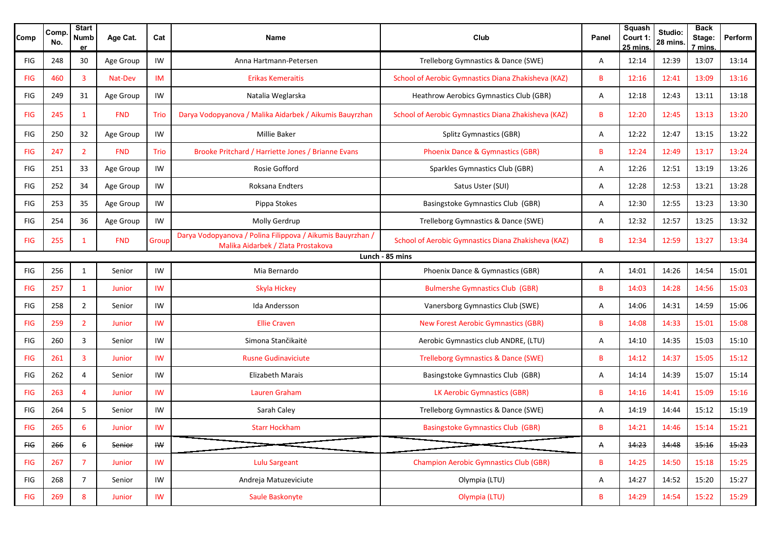| Comp           | Comp.<br>No.    | <b>Start</b><br><b>Numb</b><br>e۳ | Age Cat.      | Cat                    | Name                                                                                             | Club                                                | Panel | <b>Squash</b><br>Court 1:<br>25 mins. | Studio:<br>28 mins | <b>Back</b><br>Stage:<br>7 mins. | Perform |  |  |  |
|----------------|-----------------|-----------------------------------|---------------|------------------------|--------------------------------------------------------------------------------------------------|-----------------------------------------------------|-------|---------------------------------------|--------------------|----------------------------------|---------|--|--|--|
| FIG            | 248             | 30                                | Age Group     | IW                     | Anna Hartmann-Petersen                                                                           | Trelleborg Gymnastics & Dance (SWE)                 | Α     | 12:14                                 | 12:39              | 13:07                            | 13:14   |  |  |  |
| <b>FIG</b>     | 460             | 3                                 | Nat-Dev       | <b>IM</b>              | <b>Erikas Kemeraitis</b>                                                                         | School of Aerobic Gymnastics Diana Zhakisheva (KAZ) | B     | 12:16                                 | 12:41              | 13:09                            | 13:16   |  |  |  |
| FIG            | 249             | 31                                | Age Group     | IW                     | Natalia Weglarska                                                                                | Heathrow Aerobics Gymnastics Club (GBR)             | Α     | 12:18                                 | 12:43              | 13:11                            | 13:18   |  |  |  |
| <b>FIG</b>     | 245             | $\mathbf{1}$                      | <b>FND</b>    | Trio                   | Darya Vodopyanova / Malika Aidarbek / Aikumis Bauyrzhan                                          | School of Aerobic Gymnastics Diana Zhakisheva (KAZ) | B     | 12:20                                 | 12:45              | 13:13                            | 13:20   |  |  |  |
| FIG            | 250             | 32                                | Age Group     | IW                     | Millie Baker                                                                                     | <b>Splitz Gymnastics (GBR)</b>                      | Α     | 12:22                                 | 12:47              | 13:15                            | 13:22   |  |  |  |
| <b>FIG</b>     | 247             | $\overline{2}$                    | <b>FND</b>    | Trio                   | Brooke Pritchard / Harriette Jones / Brianne Evans                                               | Phoenix Dance & Gymnastics (GBR)                    | B     | 12:24                                 | 12:49              | 13:17                            | 13:24   |  |  |  |
| <b>FIG</b>     | 251             | 33                                | Age Group     | IW                     | Rosie Gofford                                                                                    | Sparkles Gymnastics Club (GBR)                      | Α     | 12:26                                 | 12:51              | 13:19                            | 13:26   |  |  |  |
| FIG            | 252             | 34                                | Age Group     | IW                     | Roksana Endters                                                                                  | Satus Uster (SUI)                                   | Α     | 12:28                                 | 12:53              | 13:21                            | 13:28   |  |  |  |
| FIG            | 253             | 35                                | Age Group     | IW                     | Pippa Stokes                                                                                     | Basingstoke Gymnastics Club (GBR)                   | Α     | 12:30                                 | 12:55              | 13:23                            | 13:30   |  |  |  |
| FIG            | 254             | 36                                | Age Group     | IW                     | Molly Gerdrup                                                                                    | Trelleborg Gymnastics & Dance (SWE)                 | Α     | 12:32                                 | 12:57              | 13:25                            | 13:32   |  |  |  |
| <b>FIG</b>     | 255             | $\mathbf{1}$                      | <b>FND</b>    | Group                  | Darya Vodopyanova / Polina Filippova / Aikumis Bauyrzhan /<br>Malika Aidarbek / Zlata Prostakova | School of Aerobic Gymnastics Diana Zhakisheva (KAZ) | В     | 12:34                                 | 12:59              | 13:27                            | 13:34   |  |  |  |
|                | Lunch - 85 mins |                                   |               |                        |                                                                                                  |                                                     |       |                                       |                    |                                  |         |  |  |  |
| <b>FIG</b>     | 256             | $\mathbf{1}$                      | Senior        | IW                     | Mia Bernardo                                                                                     | Phoenix Dance & Gymnastics (GBR)                    | Α     | 14:01                                 | 14:26              | 14:54                            | 15:01   |  |  |  |
| <b>FIG</b>     | 257             | 1                                 | Junior        | IW                     | Skyla Hickey                                                                                     | <b>Bulmershe Gymnastics Club (GBR)</b>              | B     | 14:03                                 | 14:28              | 14:56                            | 15:03   |  |  |  |
| <b>FIG</b>     | 258             | $\overline{2}$                    | Senior        | IW                     | Ida Andersson                                                                                    | Vanersborg Gymnastics Club (SWE)                    | Α     | 14:06                                 | 14:31              | 14:59                            | 15:06   |  |  |  |
| <b>FIG</b>     | 259             | $\overline{2}$                    | Junior        | IW                     | <b>Ellie Craven</b>                                                                              | <b>New Forest Aerobic Gymnastics (GBR)</b>          | B     | 14:08                                 | 14:33              | 15:01                            | 15:08   |  |  |  |
| FIG            | 260             | 3                                 | Senior        | IW                     | Simona Stančikaitė                                                                               | Aerobic Gymnastics club ANDRE, (LTU)                | Α     | 14:10                                 | 14:35              | 15:03                            | 15:10   |  |  |  |
| <b>FIG</b>     | 261             | 3                                 | Junior        | IW                     | <b>Rusne Gudinaviciute</b>                                                                       | <b>Trelleborg Gymnastics &amp; Dance (SWE)</b>      | B     | 14:12                                 | 14:37              | 15:05                            | 15:12   |  |  |  |
| FIG            | 262             | 4                                 | Senior        | IW                     | <b>Elizabeth Marais</b>                                                                          | Basingstoke Gymnastics Club (GBR)                   | Α     | 14:14                                 | 14:39              | 15:07                            | 15:14   |  |  |  |
| <b>FIG</b>     | 263             | 4                                 | <b>Junior</b> | IW                     | Lauren Graham                                                                                    | LK Aerobic Gymnastics (GBR)                         | В     | 14:16                                 | 14:41              | 15:09                            | 15:16   |  |  |  |
| FIG            | 264             | 5                                 | Senior        | IW                     | Sarah Caley                                                                                      | Trelleborg Gymnastics & Dance (SWE)                 | Α     | 14:19                                 | 14:44              | 15:12                            | 15:19   |  |  |  |
| <b>FIG</b>     | 265             | 6                                 | Junior        | <b>IW</b>              | <b>Starr Hockham</b>                                                                             | <b>Basingstoke Gymnastics Club (GBR)</b>            | В     | 14:21                                 | 14:46              | 15:14                            | 15:21   |  |  |  |
| H <sub>G</sub> | 266             | 6                                 | Senior        | $W$                    |                                                                                                  |                                                     | Α     | 14:23                                 | 14:48              | 15:16                            | 15:23   |  |  |  |
| <b>FIG</b>     | 267             | $\overline{7}$                    | Junior        | IW                     | <b>Lulu Sargeant</b>                                                                             | <b>Champion Aerobic Gymnastics Club (GBR)</b>       | B     | 14:25                                 | 14:50              | 15:18                            | 15:25   |  |  |  |
| FIG            | 268             | $7^{\circ}$                       | Senior        | IW                     | Andreja Matuzeviciute                                                                            | Olympia (LTU)                                       | A     | 14:27                                 | 14:52              | 15:20                            | 15:27   |  |  |  |
| <b>FIG</b>     | 269             | 8                                 | Junior        | $\mathsf{I}\mathsf{W}$ | Saule Baskonyte                                                                                  | Olympia (LTU)                                       | B     | 14:29                                 | 14:54              | 15:22                            | 15:29   |  |  |  |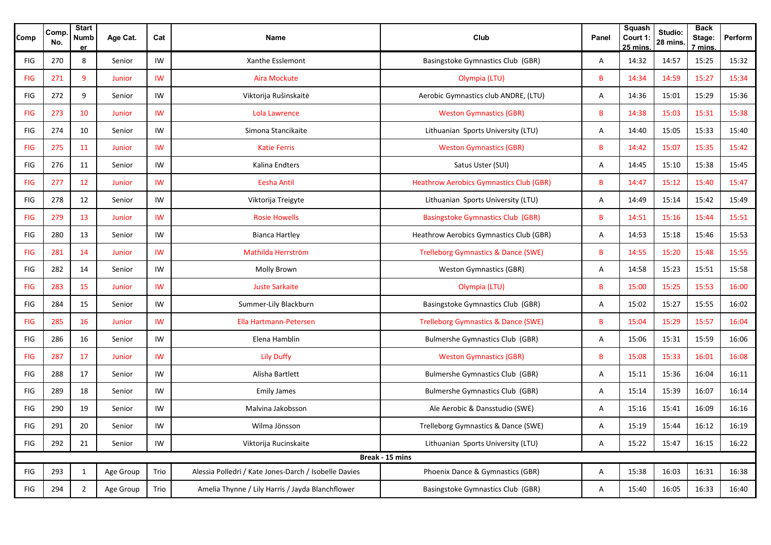| Comp       | Comp<br>No. | <b>Start</b><br><b>Numb</b><br>er | Age Cat.  | Cat       | <b>Name</b>                                           | Club                                           | Panel          | Squash<br>Court 1:<br>$25$ mins. | Studio:<br>28 mins. | <b>Back</b><br>Stage:<br>7 mins | Perform |
|------------|-------------|-----------------------------------|-----------|-----------|-------------------------------------------------------|------------------------------------------------|----------------|----------------------------------|---------------------|---------------------------------|---------|
| FIG        | 270         | 8                                 | Senior    | IW        | Xanthe Esslemont                                      | Basingstoke Gymnastics Club (GBR)              | A              | 14:32                            | 14:57               | 15:25                           | 15:32   |
| <b>FIG</b> | 271         | 9                                 | Junior    | IW        | <b>Aira Mockute</b>                                   | Olympia (LTU)                                  | B              | 14:34                            | 14:59               | 15:27                           | 15:34   |
| FIG        | 272         | 9                                 | Senior    | IW        | Viktorija Rušinskaitė                                 | Aerobic Gymnastics club ANDRE, (LTU)           | A              | 14:36                            | 15:01               | 15:29                           | 15:36   |
| <b>FIG</b> | 273         | 10                                | Junior    | IW        | Lola Lawrence                                         | <b>Weston Gymnastics (GBR)</b>                 | B              | 14:38                            | 15:03               | 15:31                           | 15:38   |
| FIG        | 274         | 10                                | Senior    | IW        | Simona Stancikaite                                    | Lithuanian Sports University (LTU)             | A              | 14:40                            | 15:05               | 15:33                           | 15:40   |
| FIG        | 275         | 11                                | Junior    | IW        | <b>Katie Ferris</b>                                   | <b>Weston Gymnastics (GBR)</b>                 | B              | 14:42                            | 15:07               | 15:35                           | 15:42   |
| <b>FIG</b> | 276         | 11                                | Senior    | IW        | Kalina Endters                                        | Satus Uster (SUI)                              | A              | 14:45                            | 15:10               | 15:38                           | 15:45   |
| FIG        | 277         | 12                                | Junior    | IW        | Eesha Antil                                           | <b>Heathrow Aerobics Gymnastics Club (GBR)</b> | $\overline{B}$ | 14:47                            | 15:12               | 15:40                           | 15:47   |
| FIG        | 278         | 12                                | Senior    | IW        | Viktorija Treigyte                                    | Lithuanian Sports University (LTU)             | A              | 14:49                            | 15:14               | 15:42                           | 15:49   |
| <b>FIG</b> | 279         | 13                                | Junior    | IW        | <b>Rosie Howells</b>                                  | <b>Basingstoke Gymnastics Club (GBR)</b>       | $\mathsf B$    | 14:51                            | 15:16               | 15:44                           | 15:51   |
| FIG        | 280         | 13                                | Senior    | IW        | <b>Bianca Hartley</b>                                 | Heathrow Aerobics Gymnastics Club (GBR)        | A              | 14:53                            | 15:18               | 15:46                           | 15:53   |
| <b>FIG</b> | 281         | 14                                | Junior    | <b>IW</b> | Mathilda Herrström                                    | <b>Trelleborg Gymnastics &amp; Dance (SWE)</b> | $\overline{B}$ | 14:55                            | 15:20               | 15:48                           | 15:55   |
| FIG        | 282         | 14                                | Senior    | IW        | Molly Brown                                           | <b>Weston Gymnastics (GBR)</b>                 | A              | 14:58                            | 15:23               | 15:51                           | 15:58   |
| <b>FIG</b> | 283         | 15                                | Junior    | IW        | <b>Juste Sarkaite</b>                                 | Olympia (LTU)                                  | B              | 15:00                            | 15:25               | 15:53                           | 16:00   |
| <b>FIG</b> | 284         | 15                                | Senior    | IW        | Summer-Lily Blackburn                                 | Basingstoke Gymnastics Club (GBR)              | A              | 15:02                            | 15:27               | 15:55                           | 16:02   |
| <b>FIG</b> | 285         | 16                                | Junior    | IW        | Ella Hartmann-Petersen                                | <b>Trelleborg Gymnastics &amp; Dance (SWE)</b> | B              | 15:04                            | 15:29               | 15:57                           | 16:04   |
| FIG        | 286         | 16                                | Senior    | IW        | Elena Hamblin                                         | <b>Bulmershe Gymnastics Club (GBR)</b>         | A              | 15:06                            | 15:31               | 15:59                           | 16:06   |
| <b>FIG</b> | 287         | 17                                | Junior    | IW        | <b>Lily Duffy</b>                                     | <b>Weston Gymnastics (GBR)</b>                 | B              | 15:08                            | 15:33               | 16:01                           | 16:08   |
| FIG        | 288         | 17                                | Senior    | IW        | Alisha Bartlett                                       | <b>Bulmershe Gymnastics Club (GBR)</b>         | A              | 15:11                            | 15:36               | 16:04                           | 16:11   |
| <b>FIG</b> | 289         | 18                                | Senior    | IW        | <b>Emily James</b>                                    | <b>Bulmershe Gymnastics Club (GBR)</b>         | A              | 15:14                            | 15:39               | 16:07                           | 16:14   |
| FIG        | 290         | 19                                | Senior    | IW        | Malvina Jakobsson                                     | Ale Aerobic & Dansstudio (SWE)                 | A              | 15:16                            | 15:41               | 16:09                           | 16:16   |
| FIG        | 291         | 20                                | Senior    | IW        | Wilma Jönsson                                         | Trelleborg Gymnastics & Dance (SWE)            | A              | 15:19                            | 15:44               | 16:12                           | 16:19   |
| <b>FIG</b> | 292         | 21                                | Senior    | IW        | Viktorija Rucinskaite                                 | Lithuanian Sports University (LTU)             | A              | 15:22                            | 15:47               | 16:15                           | 16:22   |
|            |             |                                   |           |           |                                                       | Break - 15 mins                                |                |                                  |                     |                                 |         |
| FIG        | 293         | $\mathbf{1}$                      | Age Group | Trio      | Alessia Polledri / Kate Jones-Darch / Isobelle Davies | Phoenix Dance & Gymnastics (GBR)               | A              | 15:38                            | 16:03               | 16:31                           | 16:38   |
| FIG        | 294         | $\overline{2}$                    | Age Group | Trio      | Amelia Thynne / Lily Harris / Jayda Blanchflower      | Basingstoke Gymnastics Club (GBR)              | $\overline{A}$ | 15:40                            | 16:05               | 16:33                           | 16:40   |